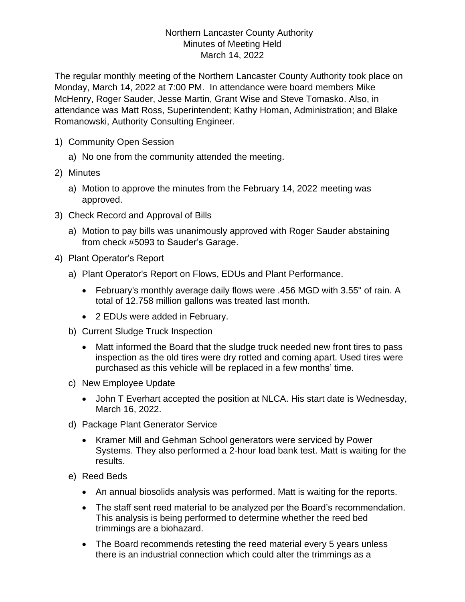## Northern Lancaster County Authority Minutes of Meeting Held March 14, 2022

The regular monthly meeting of the Northern Lancaster County Authority took place on Monday, March 14, 2022 at 7:00 PM. In attendance were board members Mike McHenry, Roger Sauder, Jesse Martin, Grant Wise and Steve Tomasko. Also, in attendance was Matt Ross, Superintendent; Kathy Homan, Administration; and Blake Romanowski, Authority Consulting Engineer.

- 1) Community Open Session
	- a) No one from the community attended the meeting.
- 2) Minutes
	- a) Motion to approve the minutes from the February 14, 2022 meeting was approved.
- 3) Check Record and Approval of Bills
	- a) Motion to pay bills was unanimously approved with Roger Sauder abstaining from check #5093 to Sauder's Garage.
- 4) Plant Operator's Report
	- a) Plant Operator's Report on Flows, EDUs and Plant Performance.
		- February's monthly average daily flows were .456 MGD with 3.55" of rain. A total of 12.758 million gallons was treated last month.
		- 2 EDUs were added in February.
	- b) Current Sludge Truck Inspection
		- Matt informed the Board that the sludge truck needed new front tires to pass inspection as the old tires were dry rotted and coming apart. Used tires were purchased as this vehicle will be replaced in a few months' time.
	- c) New Employee Update
		- John T Everhart accepted the position at NLCA. His start date is Wednesday, March 16, 2022.
	- d) Package Plant Generator Service
		- Kramer Mill and Gehman School generators were serviced by Power Systems. They also performed a 2-hour load bank test. Matt is waiting for the results.
	- e) Reed Beds
		- An annual biosolids analysis was performed. Matt is waiting for the reports.
		- The staff sent reed material to be analyzed per the Board's recommendation. This analysis is being performed to determine whether the reed bed trimmings are a biohazard.
		- The Board recommends retesting the reed material every 5 years unless there is an industrial connection which could alter the trimmings as a